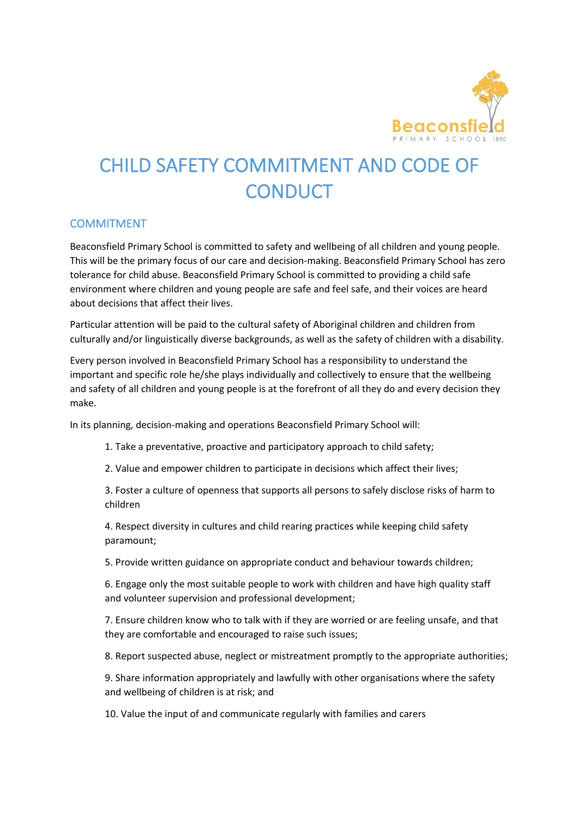

# CHILD SAFETY COMMITMENT AND CODE OF **CONDUCT**

## **COMMITMENT**

Beaconsfield Primary School is committed to safety and wellbeing of all children and young people. This will be the primary focus of our care and decision-making. Beaconsfield Primary School has zero tolerance for child abuse. Beaconsfield Primary School is committed to providing a child safe environment where children and young people are safe and feel safe, and their voices are heard about decisions that affect their lives.

Particular attention will be paid to the cultural safety of Aboriginal children and children from culturally and/or linguistically diverse backgrounds, as well as the safety of children with a disability.

Every person involved in Beaconsfield Primary School has a responsibility to understand the important and specific role he/she plays individually and collectively to ensure that the wellbeing and safety of all children and young people is at the forefront of all they do and every decision they make.

In its planning, decision-making and operations Beaconsfield Primary School will:

- 1. Take a preventative, proactive and participatory approach to child safety;
- 2. Value and empower children to participate in decisions which affect their lives;

3. Foster a culture of openness that supports all persons to safely disclose risks of harm to children

4. Respect diversity in cultures and child rearing practices while keeping child safety paramount;

5. Provide written guidance on appropriate conduct and behaviour towards children;

6. Engage only the most suitable people to work with children and have high quality staff and volunteer supervision and professional development;

7. Ensure children know who to talk with if they are worried or are feeling unsafe, and that they are comfortable and encouraged to raise such issues;

8. Report suspected abuse, neglect or mistreatment promptly to the appropriate authorities;

9. Share information appropriately and lawfully with other organisations where the safety and wellbeing of children is at risk; and

10. Value the input of and communicate regularly with families and carers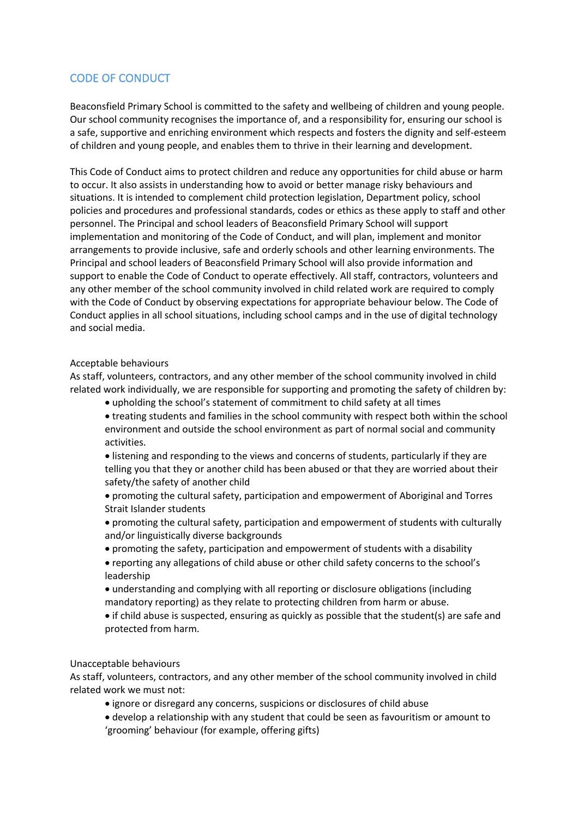## CODE OF CONDUCT

Beaconsfield Primary School is committed to the safety and wellbeing of children and young people. Our school community recognises the importance of, and a responsibility for, ensuring our school is a safe, supportive and enriching environment which respects and fosters the dignity and self-esteem of children and young people, and enables them to thrive in their learning and development.

This Code of Conduct aims to protect children and reduce any opportunities for child abuse or harm to occur. It also assists in understanding how to avoid or better manage risky behaviours and situations. It is intended to complement child protection legislation, Department policy, school policies and procedures and professional standards, codes or ethics as these apply to staff and other personnel. The Principal and school leaders of Beaconsfield Primary School will support implementation and monitoring of the Code of Conduct, and will plan, implement and monitor arrangements to provide inclusive, safe and orderly schools and other learning environments. The Principal and school leaders of Beaconsfield Primary School will also provide information and support to enable the Code of Conduct to operate effectively. All staff, contractors, volunteers and any other member of the school community involved in child related work are required to comply with the Code of Conduct by observing expectations for appropriate behaviour below. The Code of Conduct applies in all school situations, including school camps and in the use of digital technology and social media.

### Acceptable behaviours

As staff, volunteers, contractors, and any other member of the school community involved in child related work individually, we are responsible for supporting and promoting the safety of children by:

- upholding the school's statement of commitment to child safety at all times
- treating students and families in the school community with respect both within the school environment and outside the school environment as part of normal social and community activities.
- listening and responding to the views and concerns of students, particularly if they are telling you that they or another child has been abused or that they are worried about their safety/the safety of another child
- promoting the cultural safety, participation and empowerment of Aboriginal and Torres Strait Islander students
- promoting the cultural safety, participation and empowerment of students with culturally and/or linguistically diverse backgrounds
- promoting the safety, participation and empowerment of students with a disability
- reporting any allegations of child abuse or other child safety concerns to the school's leadership
- understanding and complying with all reporting or disclosure obligations (including mandatory reporting) as they relate to protecting children from harm or abuse.
- if child abuse is suspected, ensuring as quickly as possible that the student(s) are safe and protected from harm.

### Unacceptable behaviours

As staff, volunteers, contractors, and any other member of the school community involved in child related work we must not:

- ignore or disregard any concerns, suspicions or disclosures of child abuse
- develop a relationship with any student that could be seen as favouritism or amount to 'grooming' behaviour (for example, offering gifts)